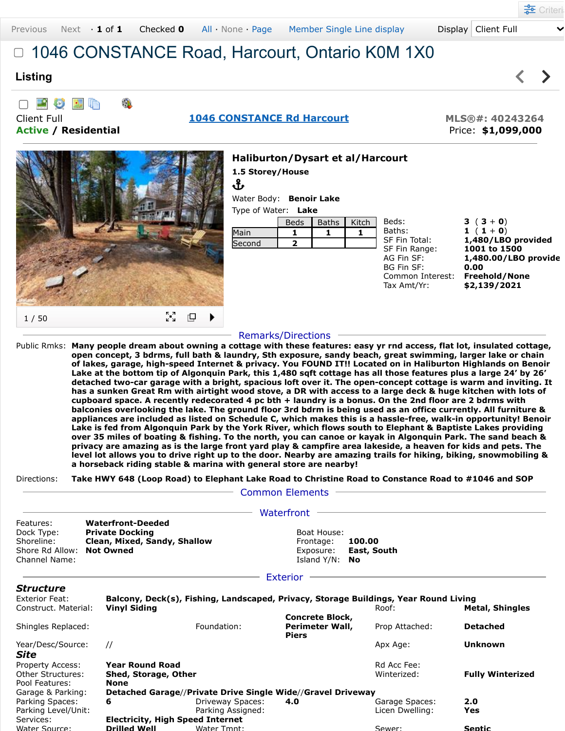K

<u> 고</u> Criteri

 $\blacktriangleright$ 

#### 1046 CONSTANCE Road, Harcourt, Ontario K0M 1X0  $\Box$

## **Listing**

ø bild Q.

**Active / Residential** Price: **\$1,099,000**

Client Full **[1046 CONSTANCE Rd](javascript:Dpy.mapPopup() Harcourt MLS®#: 40243264**



# **Haliburton/Dysart et al/Harcourt**

**1.5 Storey/House**

ၛၞ

Water Body: **Benoir Lake** Type of Water: **Lake**

|        | <b>Beds</b> | <b>Baths</b> | Kitch | Beds:                    | $3(3+0)$                     |
|--------|-------------|--------------|-------|--------------------------|------------------------------|
| Main   |             |              |       | Baths:                   | 1 $(1+0)$                    |
| Second | 2           |              |       | SF Fin Total:            | 1,480/LBO provided           |
|        |             |              |       | SF Fin Range:            | 1001 to 1500                 |
|        |             |              |       | AG Fin SF:<br>BG Fin SF: | 1,480.00/LBO provide<br>0.00 |
|        |             |              |       | Common Interest:         | Freehold/None                |
|        |             |              |       | Tax Amt/Yr:              | \$2,139/2021                 |

#### Remarks/Directions

Public Rmks: **Many people dream about owning a cottage with these features: easy yr rnd access, flat lot, insulated cottage, open concept, 3 bdrms, full bath & laundry, Sth exposure, sandy beach, great swimming, larger lake or chain of lakes, garage, high-speed Internet & privacy. You FOUND IT!! Located on in Haliburton Highlands on Benoir Lake at the bottom tip of Algonquin Park, this 1,480 sqft cottage has all those features plus a large 24' by 26' detached two-car garage with a bright, spacious loft over it. The open-concept cottage is warm and inviting. It has a sunken Great Rm with airtight wood stove, a DR with access to a large deck & huge kitchen with lots of cupboard space. A recently redecorated 4 pc bth + laundry is a bonus. On the 2nd floor are 2 bdrms with balconies overlooking the lake. The ground floor 3rd bdrm is being used as an office currently. All furniture & appliances are included as listed on Schedule C, which makes this is a hassle-free, walk-in opportunity! Benoir Lake is fed from Algonquin Park by the York River, which flows south to Elephant & Baptiste Lakes providing over 35 miles of boating & fishing. To the north, you can canoe or kayak in Algonquin Park. The sand beach & privacy are amazing as is the large front yard play & campfire area lakeside, a heaven for kids and pets. The level lot allows you to drive right up to the door. Nearby are amazing trails for hiking, biking, snowmobiling & a horseback riding stable & marina with general store are nearby!**

Directions: **Take HWY 648 (Loop Road) to Elephant Lake Road to Christine Road to Constance Road to #1046 and SOP**

 $-$  Common Elements  $-$ 

|                                                                                  |                                                                                                        |                   | Waterfront                                                        |                                                                                               |                         |  |  |
|----------------------------------------------------------------------------------|--------------------------------------------------------------------------------------------------------|-------------------|-------------------------------------------------------------------|-----------------------------------------------------------------------------------------------|-------------------------|--|--|
| Features:<br>Dock Type:<br>Shoreline:<br>Shore Rd Allow:<br>Channel Name:        | <b>Waterfront-Deeded</b><br><b>Private Docking</b><br>Clean, Mixed, Sandy, Shallow<br><b>Not Owned</b> |                   | Boat House:<br>Frontage:<br>Exposure:<br>Island $Y/N$ : <b>No</b> | 100.00<br>East, South                                                                         |                         |  |  |
|                                                                                  |                                                                                                        |                   | <b>Exterior</b>                                                   |                                                                                               |                         |  |  |
| Structure<br><b>Exterior Feat:</b><br>Construct, Material:                       | <b>Vinyl Siding</b>                                                                                    |                   |                                                                   | Balcony, Deck(s), Fishing, Landscaped, Privacy, Storage Buildings, Year Round Living<br>Roof: | <b>Metal, Shingles</b>  |  |  |
| Shingles Replaced:                                                               |                                                                                                        | Foundation:       | <b>Concrete Block,</b><br>Perimeter Wall,<br><b>Piers</b>         | Prop Attached:                                                                                | <b>Detached</b>         |  |  |
| Year/Desc/Source:<br>Site                                                        | $\prime\prime$                                                                                         |                   |                                                                   | Apx Age:                                                                                      | <b>Unknown</b>          |  |  |
| <b>Property Access:</b><br>Other Structures:<br>Pool Features:                   | <b>Year Round Road</b><br>Shed, Storage, Other<br><b>None</b>                                          |                   |                                                                   | Rd Acc Fee:<br>Winterized:                                                                    | <b>Fully Winterized</b> |  |  |
| Detached Garage//Private Drive Single Wide//Gravel Driveway<br>Garage & Parking: |                                                                                                        |                   |                                                                   |                                                                                               |                         |  |  |
| Parking Spaces:                                                                  | 6                                                                                                      | Driveway Spaces:  | 4.0                                                               | Garage Spaces:                                                                                | 2.0                     |  |  |
| Parking Level/Unit:<br>Services:                                                 |                                                                                                        | Parking Assigned: |                                                                   | Licen Dwelling:                                                                               | Yes                     |  |  |
| Water Source:                                                                    | <b>Electricity, High Speed Internet</b><br><b>Drilled Well</b>                                         | Water Tmnt:       |                                                                   | Sewer:                                                                                        | <b>Septic</b>           |  |  |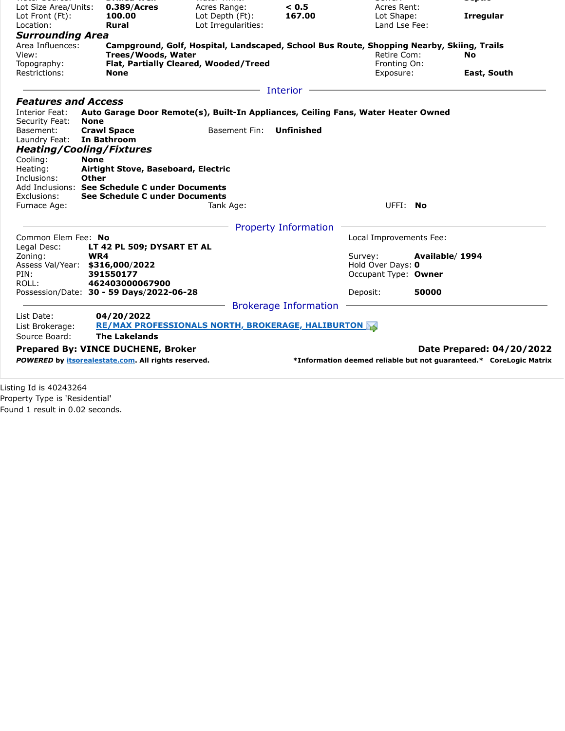| Lot Size Area/Units:            | 0.389/Acres                                                            | Acres Range:                                                                              | < 0.5                        | Acres Rent:             |                 |                                                                    |
|---------------------------------|------------------------------------------------------------------------|-------------------------------------------------------------------------------------------|------------------------------|-------------------------|-----------------|--------------------------------------------------------------------|
| Lot Front (Ft):                 | 100.00                                                                 | Lot Depth (Ft):                                                                           | 167.00                       | Lot Shape:              |                 | <b>Irregular</b>                                                   |
| Location:                       | <b>Rural</b>                                                           | Lot Irregularities:                                                                       |                              | Land Lse Fee:           |                 |                                                                    |
| <b>Surrounding Area</b>         |                                                                        |                                                                                           |                              |                         |                 |                                                                    |
| Area Influences:                |                                                                        | Campground, Golf, Hospital, Landscaped, School Bus Route, Shopping Nearby, Skiing, Trails |                              |                         |                 |                                                                    |
| View:                           |                                                                        | Trees/Woods, Water                                                                        |                              |                         |                 | No.                                                                |
| Topography:                     |                                                                        | Flat, Partially Cleared, Wooded/Treed                                                     |                              | Fronting On:            |                 |                                                                    |
| Restrictions:                   | <b>None</b>                                                            |                                                                                           |                              | Exposure:               |                 | East, South                                                        |
|                                 |                                                                        |                                                                                           | Interior                     |                         |                 |                                                                    |
| <b>Features and Access</b>      |                                                                        |                                                                                           |                              |                         |                 |                                                                    |
| Interior Feat:                  |                                                                        | Auto Garage Door Remote(s), Built-In Appliances, Ceiling Fans, Water Heater Owned         |                              |                         |                 |                                                                    |
| Security Feat:                  | <b>None</b>                                                            |                                                                                           |                              |                         |                 |                                                                    |
| Basement:                       | <b>Crawl Space</b>                                                     | Basement Fin:                                                                             | <b>Unfinished</b>            |                         |                 |                                                                    |
| Laundry Feat:                   | In Bathroom                                                            |                                                                                           |                              |                         |                 |                                                                    |
| <b>Heating/Cooling/Fixtures</b> |                                                                        |                                                                                           |                              |                         |                 |                                                                    |
| Cooling:                        | <b>None</b>                                                            |                                                                                           |                              |                         |                 |                                                                    |
| Heating:                        | Airtight Stove, Baseboard, Electric                                    |                                                                                           |                              |                         |                 |                                                                    |
| Inclusions:                     | <b>Other</b><br>Add Inclusions: See Schedule C under Documents         |                                                                                           |                              |                         |                 |                                                                    |
| Exclusions:                     | See Schedule C under Documents                                         |                                                                                           |                              |                         |                 |                                                                    |
| Furnace Age:                    |                                                                        | Tank Age:                                                                                 |                              | UFFI: No                |                 |                                                                    |
|                                 |                                                                        |                                                                                           |                              |                         |                 |                                                                    |
|                                 |                                                                        |                                                                                           | <b>Property Information</b>  |                         |                 |                                                                    |
| Common Elem Fee: No             |                                                                        |                                                                                           |                              | Local Improvements Fee: |                 |                                                                    |
| Legal Desc:                     | LT 42 PL 509; DYSART ET AL                                             |                                                                                           |                              |                         |                 |                                                                    |
| Zoning:                         | WR4                                                                    |                                                                                           |                              | Survey:                 | Available/ 1994 |                                                                    |
| Assess Val/Year: \$316,000/2022 |                                                                        |                                                                                           |                              | Hold Over Days: 0       |                 |                                                                    |
| PIN:<br>ROLL:                   | 391550177<br>462403000067900                                           |                                                                                           |                              | Occupant Type: Owner    |                 |                                                                    |
|                                 | Possession/Date: 30 - 59 Days/2022-06-28                               |                                                                                           |                              | Deposit:                | 50000           |                                                                    |
|                                 |                                                                        |                                                                                           |                              |                         |                 |                                                                    |
| List Date:                      |                                                                        |                                                                                           | <b>Brokerage Information</b> |                         |                 |                                                                    |
| List Brokerage:                 | 04/20/2022<br><b>RE/MAX PROFESSIONALS NORTH, BROKERAGE, HALIBURTON</b> |                                                                                           |                              |                         |                 |                                                                    |
| Source Board:                   | <b>The Lakelands</b>                                                   |                                                                                           |                              |                         |                 |                                                                    |
|                                 | <b>Prepared By: VINCE DUCHENE, Broker</b><br>Date Prepared: 04/20/2022 |                                                                                           |                              |                         |                 |                                                                    |
|                                 | POWERED by itsorealestate.com. All rights reserved.                    |                                                                                           |                              |                         |                 | *Information deemed reliable but not guaranteed.* CoreLogic Matrix |
|                                 |                                                                        |                                                                                           |                              |                         |                 |                                                                    |

Listing Id is 40243264 Property Type is 'Residential' Found 1 result in 0.02 seconds.